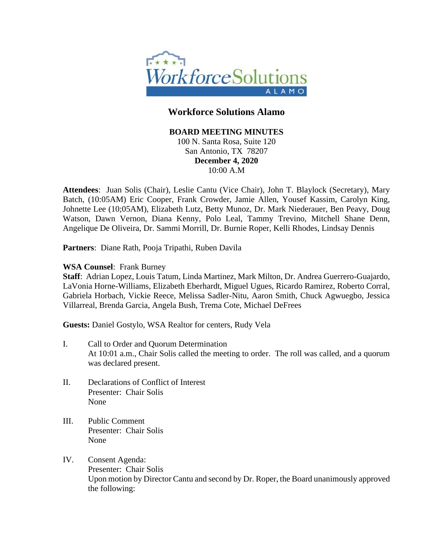

## **Workforce Solutions Alamo**

#### **BOARD MEETING MINUTES**

100 N. Santa Rosa, Suite 120 San Antonio, TX 78207 **December 4, 2020** 10:00 A.M

**Attendees**: Juan Solis (Chair), Leslie Cantu (Vice Chair), John T. Blaylock (Secretary), Mary Batch, (10:05AM) Eric Cooper, Frank Crowder, Jamie Allen, Yousef Kassim, Carolyn King, Johnette Lee (10;05AM), Elizabeth Lutz, Betty Munoz, Dr. Mark Niederauer, Ben Peavy, Doug Watson, Dawn Vernon, Diana Kenny, Polo Leal, Tammy Trevino, Mitchell Shane Denn, Angelique De Oliveira, Dr. Sammi Morrill, Dr. Burnie Roper, Kelli Rhodes, Lindsay Dennis

**Partners**: Diane Rath, Pooja Tripathi, Ruben Davila

#### **WSA Counsel**: Frank Burney

**Staff**: Adrian Lopez, Louis Tatum, Linda Martinez, Mark Milton, Dr. Andrea Guerrero-Guajardo, LaVonia Horne-Williams, Elizabeth Eberhardt, Miguel Ugues, Ricardo Ramirez, Roberto Corral, Gabriela Horbach, Vickie Reece, Melissa Sadler-Nitu, Aaron Smith, Chuck Agwuegbo, Jessica Villarreal, Brenda Garcia, Angela Bush, Trema Cote, Michael DeFrees

**Guests:** Daniel Gostylo, WSA Realtor for centers, Rudy Vela

- I. Call to Order and Quorum Determination At 10:01 a.m., Chair Solis called the meeting to order. The roll was called, and a quorum was declared present.
- II. Declarations of Conflict of Interest Presenter: Chair Solis None
- III. Public Comment Presenter: Chair Solis None
- IV. Consent Agenda: Presenter: Chair Solis Upon motion by Director Cantu and second by Dr. Roper, the Board unanimously approved the following: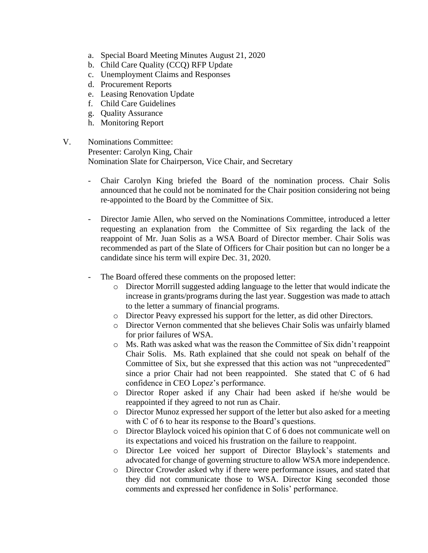- a. Special Board Meeting Minutes August 21, 2020
- b. Child Care Quality (CCQ) RFP Update
- c. Unemployment Claims and Responses
- d. Procurement Reports
- e. Leasing Renovation Update
- f. Child Care Guidelines
- g. Quality Assurance
- h. Monitoring Report
- V. Nominations Committee: Presenter: Carolyn King, Chair Nomination Slate for Chairperson, Vice Chair, and Secretary
	- Chair Carolyn King briefed the Board of the nomination process. Chair Solis announced that he could not be nominated for the Chair position considering not being re-appointed to the Board by the Committee of Six.
	- Director Jamie Allen, who served on the Nominations Committee, introduced a letter requesting an explanation from the Committee of Six regarding the lack of the reappoint of Mr. Juan Solis as a WSA Board of Director member. Chair Solis was recommended as part of the Slate of Officers for Chair position but can no longer be a candidate since his term will expire Dec. 31, 2020.
	- The Board offered these comments on the proposed letter:
		- o Director Morrill suggested adding language to the letter that would indicate the increase in grants/programs during the last year. Suggestion was made to attach to the letter a summary of financial programs.
		- o Director Peavy expressed his support for the letter, as did other Directors.
		- o Director Vernon commented that she believes Chair Solis was unfairly blamed for prior failures of WSA.
		- o Ms. Rath was asked what was the reason the Committee of Six didn't reappoint Chair Solis. Ms. Rath explained that she could not speak on behalf of the Committee of Six, but she expressed that this action was not "unprecedented" since a prior Chair had not been reappointed. She stated that C of 6 had confidence in CEO Lopez's performance.
		- o Director Roper asked if any Chair had been asked if he/she would be reappointed if they agreed to not run as Chair.
		- o Director Munoz expressed her support of the letter but also asked for a meeting with C of 6 to hear its response to the Board's questions.
		- o Director Blaylock voiced his opinion that C of 6 does not communicate well on its expectations and voiced his frustration on the failure to reappoint.
		- o Director Lee voiced her support of Director Blaylock's statements and advocated for change of governing structure to allow WSA more independence.
		- o Director Crowder asked why if there were performance issues, and stated that they did not communicate those to WSA. Director King seconded those comments and expressed her confidence in Solis' performance.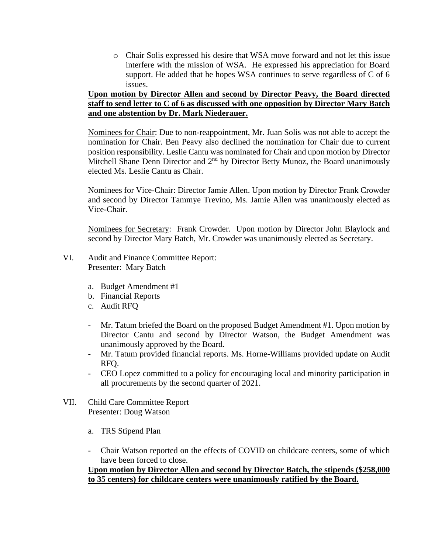o Chair Solis expressed his desire that WSA move forward and not let this issue interfere with the mission of WSA. He expressed his appreciation for Board support. He added that he hopes WSA continues to serve regardless of C of 6 issues.

### **Upon motion by Director Allen and second by Director Peavy, the Board directed staff to send letter to C of 6 as discussed with one opposition by Director Mary Batch and one abstention by Dr. Mark Niederauer.**

Nominees for Chair: Due to non-reappointment, Mr. Juan Solis was not able to accept the nomination for Chair. Ben Peavy also declined the nomination for Chair due to current position responsibility. Leslie Cantu was nominated for Chair and upon motion by Director Mitchell Shane Denn Director and 2<sup>nd</sup> by Director Betty Munoz, the Board unanimously elected Ms. Leslie Cantu as Chair.

Nominees for Vice-Chair: Director Jamie Allen. Upon motion by Director Frank Crowder and second by Director Tammye Trevino, Ms. Jamie Allen was unanimously elected as Vice-Chair.

Nominees for Secretary: Frank Crowder. Upon motion by Director John Blaylock and second by Director Mary Batch, Mr. Crowder was unanimously elected as Secretary.

- VI. Audit and Finance Committee Report: Presenter: Mary Batch
	- a. Budget Amendment #1
	- b. Financial Reports
	- c. Audit RFQ
	- Mr. Tatum briefed the Board on the proposed Budget Amendment #1. Upon motion by Director Cantu and second by Director Watson, the Budget Amendment was unanimously approved by the Board.
	- Mr. Tatum provided financial reports. Ms. Horne-Williams provided update on Audit RFQ.
	- CEO Lopez committed to a policy for encouraging local and minority participation in all procurements by the second quarter of 2021.
- VII. Child Care Committee Report Presenter: Doug Watson
	- a. TRS Stipend Plan
	- Chair Watson reported on the effects of COVID on childcare centers, some of which have been forced to close.

### **Upon motion by Director Allen and second by Director Batch, the stipends (\$258,000 to 35 centers) for childcare centers were unanimously ratified by the Board.**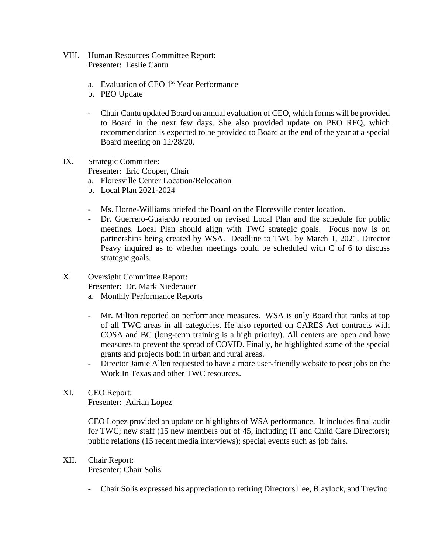- VIII. Human Resources Committee Report: Presenter: Leslie Cantu
	- a. Evaluation of CEO 1<sup>st</sup> Year Performance
	- b. PEO Update
	- Chair Cantu updated Board on annual evaluation of CEO, which forms will be provided to Board in the next few days. She also provided update on PEO RFQ, which recommendation is expected to be provided to Board at the end of the year at a special Board meeting on 12/28/20.
- IX. Strategic Committee:

Presenter: Eric Cooper, Chair

- a. Floresville Center Location/Relocation
- b. Local Plan 2021-2024
- Ms. Horne-Williams briefed the Board on the Floresville center location.
- Dr. Guerrero-Guajardo reported on revised Local Plan and the schedule for public meetings. Local Plan should align with TWC strategic goals. Focus now is on partnerships being created by WSA. Deadline to TWC by March 1, 2021. Director Peavy inquired as to whether meetings could be scheduled with C of 6 to discuss strategic goals.
- X. Oversight Committee Report:

Presenter: Dr. Mark Niederauer

- a. Monthly Performance Reports
- Mr. Milton reported on performance measures. WSA is only Board that ranks at top of all TWC areas in all categories. He also reported on CARES Act contracts with COSA and BC (long-term training is a high priority). All centers are open and have measures to prevent the spread of COVID. Finally, he highlighted some of the special grants and projects both in urban and rural areas.
- Director Jamie Allen requested to have a more user-friendly website to post jobs on the Work In Texas and other TWC resources.
- XI. CEO Report:

Presenter: Adrian Lopez

CEO Lopez provided an update on highlights of WSA performance. It includes final audit for TWC; new staff (15 new members out of 45, including IT and Child Care Directors); public relations (15 recent media interviews); special events such as job fairs.

### XII. Chair Report:

Presenter: Chair Solis

- Chair Solis expressed his appreciation to retiring Directors Lee, Blaylock, and Trevino.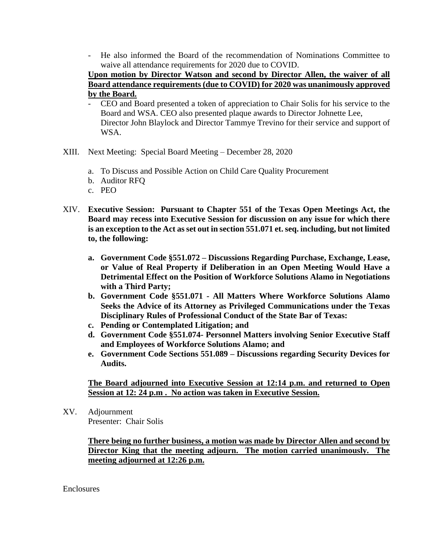- He also informed the Board of the recommendation of Nominations Committee to waive all attendance requirements for 2020 due to COVID.

**Upon motion by Director Watson and second by Director Allen, the waiver of all Board attendance requirements (due to COVID) for 2020 was unanimously approved by the Board.**

- CEO and Board presented a token of appreciation to Chair Solis for his service to the Board and WSA. CEO also presented plaque awards to Director Johnette Lee, Director John Blaylock and Director Tammye Trevino for their service and support of WSA.
- XIII. Next Meeting: Special Board Meeting December 28, 2020
	- a. To Discuss and Possible Action on Child Care Quality Procurement
	- b. Auditor RFQ
	- c. PEO
- XIV. **Executive Session: Pursuant to Chapter 551 of the Texas Open Meetings Act, the Board may recess into Executive Session for discussion on any issue for which there is an exception to the Act as set out in section 551.071 et. seq. including, but not limited to, the following:** 
	- **a. Government Code §551.072 – Discussions Regarding Purchase, Exchange, Lease, or Value of Real Property if Deliberation in an Open Meeting Would Have a Detrimental Effect on the Position of Workforce Solutions Alamo in Negotiations with a Third Party;**
	- **b. Government Code §551.071 - All Matters Where Workforce Solutions Alamo Seeks the Advice of its Attorney as Privileged Communications under the Texas Disciplinary Rules of Professional Conduct of the State Bar of Texas:**
	- **c. Pending or Contemplated Litigation; and**
	- **d. Government Code §551.074- Personnel Matters involving Senior Executive Staff and Employees of Workforce Solutions Alamo; and**
	- **e. Government Code Sections 551.089 – Discussions regarding Security Devices for Audits.**

**The Board adjourned into Executive Session at 12:14 p.m. and returned to Open Session at 12: 24 p.m . No action was taken in Executive Session.**

XV. Adjournment Presenter: Chair Solis

> **There being no further business, a motion was made by Director Allen and second by Director King that the meeting adjourn. The motion carried unanimously. The meeting adjourned at 12:26 p.m.**

Enclosures